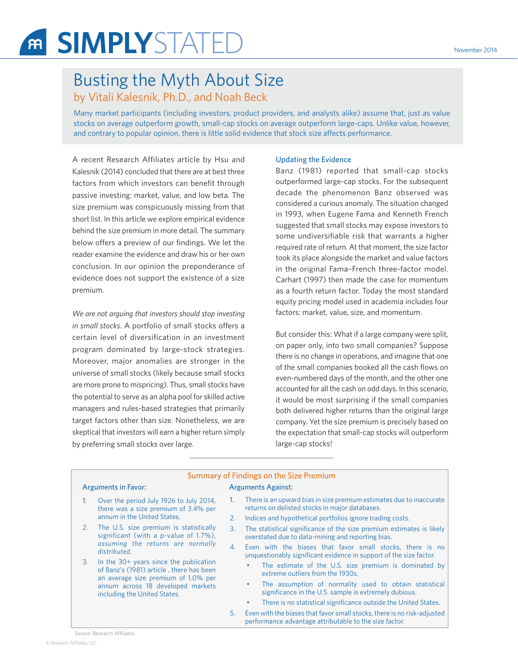# Busting the Myth About Size by Vitali Kalesnik, Ph.D., and Noah Beck

Many market participants (including investors, product providers, and analysts alike) assume that, just as value stocks on average outperform growth, small-cap stocks on average outperform large-caps. Unlike value, however, and contrary to popular opinion, there is little solid evidence that stock size affects performance.

A recent Research Affiliates article by Hsu and Kalesnik (2014) concluded that there are at best three factors from which investors can benefit through passive investing: market, value, and low beta. The size premium was conspicuously missing from that short list. In this article we explore empirical evidence behind the size premium in more detail. The summary below offers a preview of our findings. We let the reader examine the evidence and draw his or her own conclusion. In our opinion the preponderance of evidence does not support the existence of a size premium.

*We are not arguing that investors should stop investing in small stocks*. A portfolio of small stocks offers a certain level of diversification in an investment program dominated by large-stock strategies. Moreover, major anomalies are stronger in the universe of small stocks (likely because small stocks are more prone to mispricing). Thus, small stocks have the potential to serve as an alpha pool for skilled active managers and rules-based strategies that primarily target factors other than size. Nonetheless, we are skeptical that investors will earn a higher return simply by preferring small stocks over large.

## Updating the Evidence

Banz (1981) reported that small-cap stocks outperformed large-cap stocks. For the subsequent decade the phenomenon Banz observed was considered a curious anomaly. The situation changed in 1993, when Eugene Fama and Kenneth French suggested that small stocks may expose investors to some undiversifiable risk that warrants a higher required rate of return. At that moment, the size factor took its place alongside the market and value factors in the original Fama–French three-factor model. Carhart (1997) then made the case for momentum as a fourth return factor. Today the most standard equity pricing model used in academia includes four factors: market, value, size, and momentum.

But consider this: What if a large company were split, on paper only, into two small companies? Suppose there is no change in operations, and imagine that one of the small companies booked all the cash flows on even-numbered days of the month, and the other one accounted for all the cash on odd days. In this scenario, it would be most surprising if the small companies both delivered higher returns than the original large company. Yet the size premium is precisely based on the expectation that small-cap stocks will outperform large-cap stocks!

## Arguments in Favor: Arguments Against:

- 1. Over the period July 1926 to July 2014, there was a size premium of 3.4% per annum in the United States.
- 2. The U.S. size premium is statistically significant (with a p-value of 1.7%), *assuming the returns are normally distributed.*
- 3. In the 30+ years since the publication of Banz's (1981) article , there has been an average size premium of 1.0% per annum across 18 developed markets including the United States.
- 1. There is an upward bias in size premium estimates due to inaccurate returns on delisted stocks in major databases.

Summary of Findings on the Size Premium

- 2. Indices and hypothetical portfolios ignore trading costs.
- 3. The statistical significance of the size premium estimates is likely overstated due to data-mining and reporting bias.
- 4. Even with the biases that favor small stocks, there is no unquestionably significant evidence in support of the size factor.
	- The estimate of the U.S. size premium is dominated by extreme outliers from the 1930s.
	- The assumption of normality used to obtain statistical significance in the U.S. sample is extremely dubious.
	- There is no statistical significance outside the United States.
- 5. Even with the biases that favor small stocks, there is no risk-adjusted performance advantage attributable to the size factor.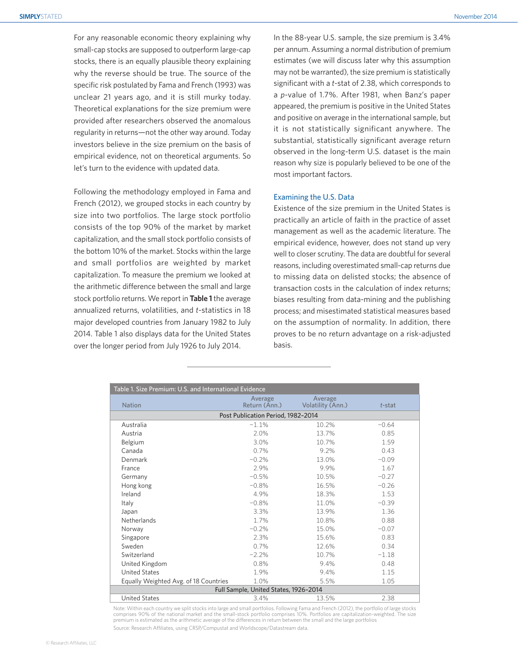For any reasonable economic theory explaining why small-cap stocks are supposed to outperform large-cap stocks, there is an equally plausible theory explaining why the reverse should be true. The source of the specific risk postulated by Fama and French (1993) was unclear 21 years ago, and it is still murky today. Theoretical explanations for the size premium were provided after researchers observed the anomalous regularity in returns—not the other way around. Today investors believe in the size premium on the basis of empirical evidence, not on theoretical arguments. So let's turn to the evidence with updated data.

Following the methodology employed in Fama and French (2012), we grouped stocks in each country by size into two portfolios. The large stock portfolio consists of the top 90% of the market by market capitalization, and the small stock portfolio consists of the bottom 10% of the market. Stocks within the large and small portfolios are weighted by market capitalization. To measure the premium we looked at the arithmetic difference between the small and large stock portfolio returns. We report in **Table 1** the average annualized returns, volatilities, and *t*-statistics in 18 major developed countries from January 1982 to July 2014. Table 1 also displays data for the United States over the longer period from July 1926 to July 2014.

In the 88-year U.S. sample, the size premium is 3.4% per annum. Assuming a normal distribution of premium estimates (we will discuss later why this assumption may not be warranted), the size premium is statistically significant with a *t*-stat of 2.38, which corresponds to a *p*-value of 1.7%. After 1981, when Banz's paper appeared, the premium is positive in the United States and positive on average in the international sample, but it is not statistically significant anywhere. The substantial, statistically significant average return observed in the long-term U.S. dataset is the main reason why size is popularly believed to be one of the most important factors.

#### Examining the U.S. Data

Existence of the size premium in the United States is practically an article of faith in the practice of asset management as well as the academic literature. The empirical evidence, however, does not stand up very well to closer scrutiny. The data are doubtful for several reasons, including overestimated small-cap returns due to missing data on delisted stocks; the absence of transaction costs in the calculation of index returns; biases resulting from data-mining and the publishing process; and misestimated statistical measures based on the assumption of normality. In addition, there proves to be no return advantage on a risk-adjusted basis.

| Table 1. Size Premium: U.S. and International Evidence |                          |                              |         |  |  |  |  |  |  |  |
|--------------------------------------------------------|--------------------------|------------------------------|---------|--|--|--|--|--|--|--|
| <b>Nation</b>                                          | Average<br>Return (Ann.) | Average<br>Volatility (Ann.) | t-stat  |  |  |  |  |  |  |  |
| Post Publication Period, 1982-2014                     |                          |                              |         |  |  |  |  |  |  |  |
| Australia                                              | $-1.1%$                  | 10.2%                        | $-0.64$ |  |  |  |  |  |  |  |
| Austria                                                | 2.0%                     | 13.7%                        | 0.85    |  |  |  |  |  |  |  |
| Belgium                                                | 3.0%                     | 10.7%                        | 1.59    |  |  |  |  |  |  |  |
| Canada                                                 | 0.7%                     | 9.2%                         | 0.43    |  |  |  |  |  |  |  |
| Denmark                                                | $-0.2%$                  | 13.0%                        | $-0.09$ |  |  |  |  |  |  |  |
| France                                                 | 2.9%                     | 9.9%                         | 1.67    |  |  |  |  |  |  |  |
| Germany                                                | $-0.5%$                  | 10.5%                        | $-0.27$ |  |  |  |  |  |  |  |
| Hong kong                                              | $-0.8%$                  | 16.5%                        | $-0.26$ |  |  |  |  |  |  |  |
| Ireland                                                | 4.9%                     | 18.3%                        | 1.53    |  |  |  |  |  |  |  |
| Italy                                                  | $-0.8%$                  | 11.0%                        | $-0.39$ |  |  |  |  |  |  |  |
| Japan                                                  | 3.3%                     | 13.9%                        | 1.36    |  |  |  |  |  |  |  |
| Netherlands                                            | 1.7%                     | 10.8%                        | 0.88    |  |  |  |  |  |  |  |
| Norway                                                 | $-0.2%$                  | 15.0%                        | $-0.07$ |  |  |  |  |  |  |  |
| Singapore                                              | 2.3%                     | 15.6%                        | 0.83    |  |  |  |  |  |  |  |
| Sweden                                                 | 0.7%                     | 12.6%                        | 0.34    |  |  |  |  |  |  |  |
| Switzerland                                            | $-2.2%$                  | 10.7%                        | $-1.18$ |  |  |  |  |  |  |  |
| United Kingdom                                         | 0.8%                     | 9.4%                         | 0.48    |  |  |  |  |  |  |  |
| <b>United States</b>                                   | 1.9%                     | 9.4%                         | 1.15    |  |  |  |  |  |  |  |
| Equally Weighted Avg. of 18 Countries                  | 1.0%                     | 5.5%                         | 1.05    |  |  |  |  |  |  |  |
| Full Sample, United States, 1926-2014                  |                          |                              |         |  |  |  |  |  |  |  |
| <b>United States</b>                                   | 3.4%                     | 13.5%                        | 2.38    |  |  |  |  |  |  |  |

Note: Within each country we split stocks into large and small portfolios. Following Fama and French (2012), the portfolio of large stocks<br>comprises 90% of the national market and the small-stock portfolio comprises 10%. P premium is estimated as the arithmetic average of the differences in return between the small and the large portfolios

Source: Research Affiliates, using CRSP/Compustat and Worldscope/Datastream data.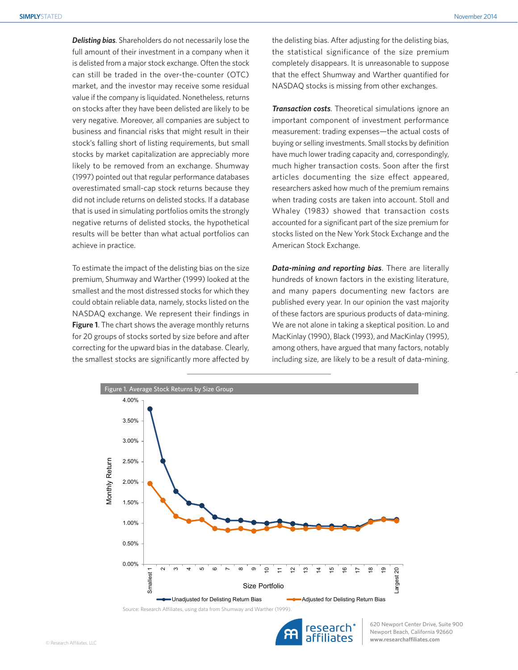*Delisting bias*. Shareholders do not necessarily lose the full amount of their investment in a company when it is delisted from a major stock exchange. Often the stock can still be traded in the over-the-counter (OTC) market, and the investor may receive some residual value if the company is liquidated. Nonetheless, returns on stocks after they have been delisted are likely to be very negative. Moreover, all companies are subject to business and financial risks that might result in their stock's falling short of listing requirements, but small stocks by market capitalization are appreciably more likely to be removed from an exchange. Shumway (1997) pointed out that regular performance databases overestimated small-cap stock returns because they did not include returns on delisted stocks. If a database that is used in simulating portfolios omits the strongly negative returns of delisted stocks, the hypothetical results will be better than what actual portfolios can achieve in practice.

To estimate the impact of the delisting bias on the size premium, Shumway and Warther (1999) looked at the smallest and the most distressed stocks for which they could obtain reliable data, namely, stocks listed on the NASDAQ exchange. We represent their findings in **Figure 1**. The chart shows the average monthly returns for 20 groups of stocks sorted by size before and after correcting for the upward bias in the database. Clearly, the smallest stocks are significantly more affected by

the delisting bias. After adjusting for the delisting bias, the statistical significance of the size premium completely disappears. It is unreasonable to suppose that the effect Shumway and Warther quantified for NASDAQ stocks is missing from other exchanges.

*Transaction costs*. Theoretical simulations ignore an important component of investment performance measurement: trading expenses—the actual costs of buying or selling investments. Small stocks by definition have much lower trading capacity and, correspondingly, much higher transaction costs. Soon after the first articles documenting the size effect appeared, researchers asked how much of the premium remains when trading costs are taken into account. Stoll and Whaley (1983) showed that transaction costs accounted for a significant part of the size premium for stocks listed on the New York Stock Exchange and the American Stock Exchange.

*Data-mining and reporting bias*. There are literally hundreds of known factors in the existing literature, and many papers documenting new factors are published every year. In our opinion the vast majority of these factors are spurious products of data-mining. We are not alone in taking a skeptical position. Lo and MacKinlay (1990), Black (1993), and MacKinlay (1995), among others, have argued that many factors, notably including size, are likely to be a result of data-mining.



620 Newport Center Drive, Suite 900 Newport Beach, California 92660 **www.researchaffiliates.com**

research affiliates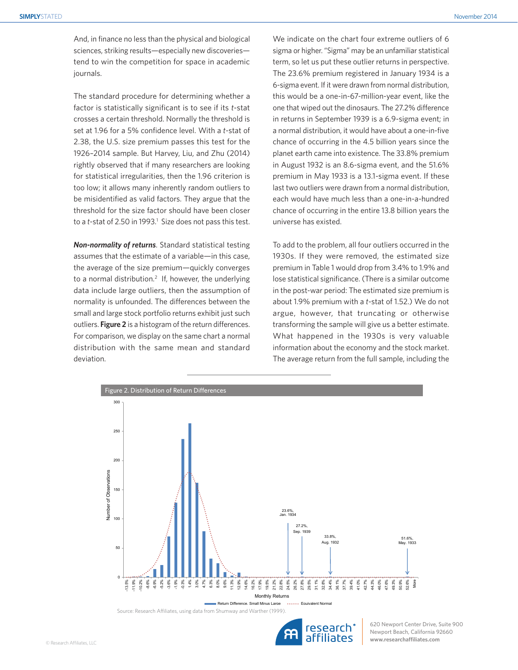And, in finance no less than the physical and biological sciences, striking results—especially new discoveries tend to win the competition for space in academic journals.

The standard procedure for determining whether a factor is statistically significant is to see if its *t*-stat crosses a certain threshold. Normally the threshold is set at 1.96 for a 5% confidence level. With a *t*-stat of 2.38, the U.S. size premium passes this test for the 1926–2014 sample. But Harvey, Liu, and Zhu (2014) rightly observed that if many researchers are looking for statistical irregularities, then the 1.96 criterion is too low; it allows many inherently random outliers to be misidentified as valid factors. They argue that the threshold for the size factor should have been closer to a *t*-stat of 2.50 in 1993.<sup>1</sup> Size does not pass this test.

*Non-normality of returns*. Standard statistical testing assumes that the estimate of a variable—in this case, the average of the size premium—quickly converges to a normal distribution.<sup>2</sup> If, however, the underlying data include large outliers, then the assumption of normality is unfounded. The differences between the small and large stock portfolio returns exhibit just such outliers. **Figure 2** is a histogram of the return differences. For comparison, we display on the same chart a normal distribution with the same mean and standard deviation.

We indicate on the chart four extreme outliers of 6 sigma or higher. "Sigma" may be an unfamiliar statistical term, so let us put these outlier returns in perspective. The 23.6% premium registered in January 1934 is a 6-sigma event. If it were drawn from normal distribution, this would be a one-in-67-million-year event, like the one that wiped out the dinosaurs. The 27.2% difference in returns in September 1939 is a 6.9-sigma event; in a normal distribution, it would have about a one-in-five chance of occurring in the 4.5 billion years since the planet earth came into existence. The 33.8% premium in August 1932 is an 8.6-sigma event, and the 51.6% premium in May 1933 is a 13.1-sigma event. If these last two outliers were drawn from a normal distribution, each would have much less than a one-in-a-hundred chance of occurring in the entire 13.8 billion years the universe has existed.

To add to the problem, all four outliers occurred in the 1930s. If they were removed, the estimated size premium in Table 1 would drop from 3.4% to 1.9% and lose statistical significance. (There is a similar outcome in the post-war period: The estimated size premium is about 1.9% premium with a *t*-stat of 1.52.) We do not argue, however, that truncating or otherwise transforming the sample will give us a better estimate. What happened in the 1930s is very valuable information about the economy and the stock market. The average return from the full sample, including the

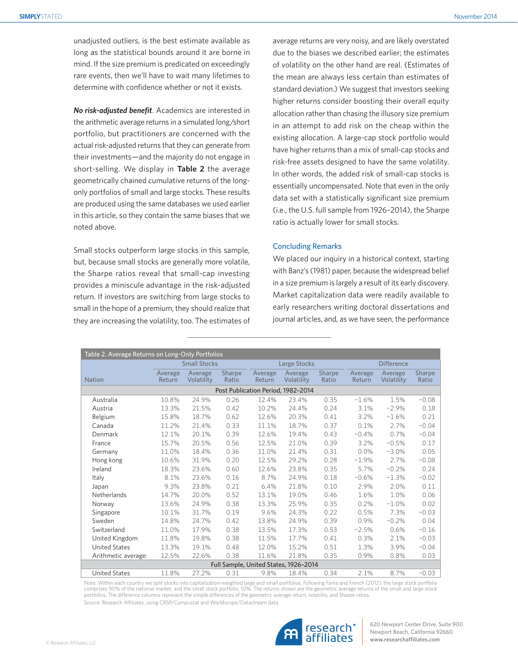unadjusted outliers, is the best estimate available as long as the statistical bounds around it are borne in mind. If the size premium is predicated on exceedingly rare events, then we'll have to wait many lifetimes to determine with confidence whether or not it exists.

*No risk-adjusted benefit*. Academics are interested in the arithmetic average returns in a simulated long/short portfolio, but practitioners are concerned with the actual risk-adjusted returns that they can generate from their investments—and the majority do not engage in short-selling. We display in **Table 2** the average geometrically chained cumulative returns of the longonly portfolios of small and large stocks. These results are produced using the same databases we used earlier in this article, so they contain the same biases that we noted above.

Small stocks outperform large stocks in this sample, but, because small stocks are generally more volatile, the Sharpe ratios reveal that small-cap investing provides a miniscule advantage in the risk-adjusted return. If investors are switching from large stocks to small in the hope of a premium, they should realize that they are increasing the volatility, too. The estimates of average returns are very noisy, and are likely overstated due to the biases we described earlier; the estimates of volatility on the other hand are real. (Estimates of the mean are always less certain than estimates of standard deviation.) We suggest that investors seeking higher returns consider boosting their overall equity allocation rather than chasing the illusory size premium in an attempt to add risk on the cheap within the existing allocation. A large-cap stock portfolio would have higher returns than a mix of small-cap stocks and risk-free assets designed to have the same volatility. In other words, the added risk of small-cap stocks is essentially uncompensated. Note that even in the only data set with a statistically significant size premium (i.e., the U.S. full sample from 1926–2014), the Sharpe ratio is actually lower for small stocks.

## Concluding Remarks

We placed our inquiry in a historical context, starting with Banz's (1981) paper, because the widespread belief in a size premium is largely a result of its early discovery. Market capitalization data were readily available to early researchers writing doctoral dissertations and journal articles, and, as we have seen, the performance

| Table 2. Average Returns on Long-Only Portfolios |                          |                       |                 |                   |                       |                 |                   |                       |                 |  |  |
|--------------------------------------------------|--------------------------|-----------------------|-----------------|-------------------|-----------------------|-----------------|-------------------|-----------------------|-----------------|--|--|
|                                                  | <b>Small Stocks</b>      |                       |                 |                   | Large Stocks          |                 |                   | <b>Difference</b>     |                 |  |  |
| <b>Nation</b>                                    | Average<br><b>Return</b> | Average<br>Volatility | Sharpe<br>Ratio | Average<br>Return | Average<br>Volatility | Sharpe<br>Ratio | Average<br>Return | Average<br>Volatility | Sharpe<br>Ratio |  |  |
| Post Publication Period, 1982-2014               |                          |                       |                 |                   |                       |                 |                   |                       |                 |  |  |
| Australia                                        | 10.8%                    | 24.9%                 | 0.26            | 12.4%             | 23.4%                 | 0.35            | $-1.6%$           | 1.5%                  | $-0.08$         |  |  |
| Austria                                          | 13.3%                    | 21.5%                 | 0.42            | 10.2%             | 24.4%                 | 0.24            | 3.1%              | $-2.9%$               | 0.18            |  |  |
| Belgium                                          | 15.8%                    | 18.7%                 | 0.62            | 12.6%             | 20.3%                 | 0.41            | 3.2%              | $-1.6%$               | 0.21            |  |  |
| Canada                                           | 11.2%                    | 21.4%                 | 0.33            | 11.1%             | 18.7%                 | 0.37            | 0.1%              | 2.7%                  | $-0.04$         |  |  |
| Denmark                                          | 12.1%                    | 20.1%                 | 0.39            | 12.6%             | 19.4%                 | 0.43            | $-0.4%$           | 0.7%                  | $-0.04$         |  |  |
| France                                           | 15.7%                    | 20.5%                 | 0.56            | 12.5%             | 21.0%                 | 0.39            | 3.2%              | $-0.5%$               | 0.17            |  |  |
| Germany                                          | 11.0%                    | 18.4%                 | 0.36            | 11.0%             | 21.4%                 | 0.31            | 0.0%              | $-3.0%$               | 0.05            |  |  |
| Hong kong                                        | 10.6%                    | 31.9%                 | 0.20            | 12.5%             | 29.2%                 | 0.28            | $-1.9%$           | 2.7%                  | $-0.08$         |  |  |
| Ireland                                          | 18.3%                    | 23.6%                 | 0.60            | 12.6%             | 23.8%                 | 0.35            | 5.7%              | $-0.2%$               | 0.24            |  |  |
| Italy                                            | 8.1%                     | 23.6%                 | 0.16            | 8.7%              | 24.9%                 | 0.18            | $-0.6%$           | $-1.3%$               | $-0.02$         |  |  |
| Japan                                            | 9.3%                     | 23.8%                 | 0.21            | 6.4%              | 21.8%                 | 0.10            | 2.9%              | 2.0%                  | 0.11            |  |  |
| Netherlands                                      | 14.7%                    | 20.0%                 | 0.52            | 13.1%             | 19.0%                 | 0.46            | 1.6%              | 1.0%                  | 0.06            |  |  |
| Norway                                           | 13.6%                    | 24.9%                 | 0.38            | 13.3%             | 25.9%                 | 0.35            | 0.2%              | $-1.0%$               | 0.02            |  |  |
| Singapore                                        | 10.1%                    | 31.7%                 | 0.19            | 9.6%              | 24.3%                 | 0.22            | 0.5%              | 7.3%                  | $-0.03$         |  |  |
| Sweden                                           | 14.8%                    | 24.7%                 | 0.42            | 13.8%             | 24.9%                 | 0.39            | 0.9%              | $-0.2%$               | 0.04            |  |  |
| Switzerland                                      | 11.0%                    | 17.9%                 | 0.38            | 13.5%             | 17.3%                 | 0.53            | $-2.5%$           | 0.6%                  | $-0.16$         |  |  |
| United Kingdom                                   | 11.8%                    | 19.8%                 | 0.38            | 11.5%             | 17.7%                 | 0.41            | 0.3%              | 2.1%                  | $-0.03$         |  |  |
| <b>United States</b>                             | 13.3%                    | 19.1%                 | 0.48            | 12.0%             | 15.2%                 | 0.51            | 1.3%              | 3.9%                  | $-0.04$         |  |  |
| Arithmetic average:                              | 12.5%                    | 22.6%                 | 0.38            | 11.6%             | 21.8%                 | 0.35            | 0.9%              | 0.8%                  | 0.03            |  |  |
| Full Sample, United States, 1926-2014            |                          |                       |                 |                   |                       |                 |                   |                       |                 |  |  |
| <b>United States</b>                             | 11.8%                    | 27.2%                 | 0.31            | 9.8%              | 18.4%                 | 0.34            | 2.1%              | 8.7%                  | $-0.03$         |  |  |

Note: Within each country we split stocks into capitalization-weighted large and small portfolios. Following Fama and French (2012), the large stock portfolio comprises 90% of the national market, and the small stock portfolio, 10%. The returns shown are the geometric average returns of the small and large stock portfolios. The difference columns represent the simple differences of the geometric average return, volatility, and Sharpe ratios. Source: Research Affiliates, using CRSP/Compustat and Worldscope/Datastream data.



620 Newport Center Drive, Suite 900 Newport Beach, California 92660 **www.researchaffiliates.com**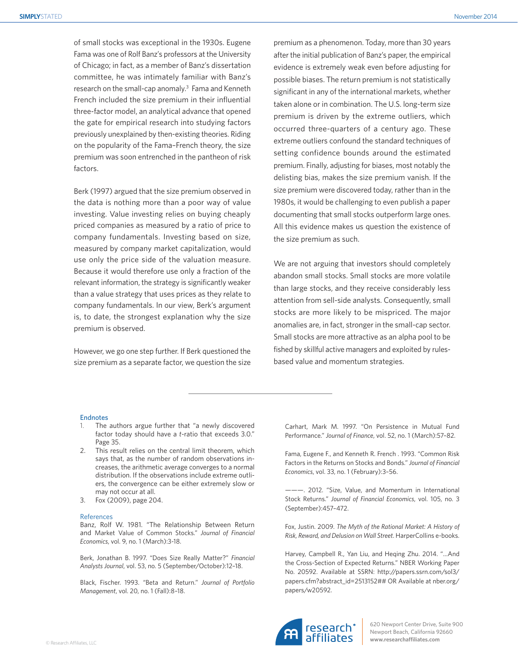of small stocks was exceptional in the 1930s. Eugene Fama was one of Rolf Banz's professors at the University of Chicago; in fact, as a member of Banz's dissertation committee, he was intimately familiar with Banz's research on the small-cap anomaly.<sup>3</sup> Fama and Kenneth French included the size premium in their influential three-factor model, an analytical advance that opened the gate for empirical research into studying factors previously unexplained by then-existing theories. Riding on the popularity of the Fama–French theory, the size premium was soon entrenched in the pantheon of risk factors.

Berk (1997) argued that the size premium observed in the data is nothing more than a poor way of value investing. Value investing relies on buying cheaply priced companies as measured by a ratio of price to company fundamentals. Investing based on size, measured by company market capitalization, would use only the price side of the valuation measure. Because it would therefore use only a fraction of the relevant information, the strategy is significantly weaker than a value strategy that uses prices as they relate to company fundamentals. In our view, Berk's argument is, to date, the strongest explanation why the size premium is observed.

However, we go one step further. If Berk questioned the size premium as a separate factor, we question the size

premium as a phenomenon. Today, more than 30 years after the initial publication of Banz's paper, the empirical evidence is extremely weak even before adjusting for possible biases. The return premium is not statistically significant in any of the international markets, whether taken alone or in combination. The U.S. long-term size premium is driven by the extreme outliers, which occurred three-quarters of a century ago. These extreme outliers confound the standard techniques of setting confidence bounds around the estimated premium. Finally, adjusting for biases, most notably the delisting bias, makes the size premium vanish. If the size premium were discovered today, rather than in the 1980s, it would be challenging to even publish a paper documenting that small stocks outperform large ones. All this evidence makes us question the existence of the size premium as such.

We are not arguing that investors should completely abandon small stocks. Small stocks are more volatile than large stocks, and they receive considerably less attention from sell-side analysts. Consequently, small stocks are more likely to be mispriced. The major anomalies are, in fact, stronger in the small-cap sector. Small stocks are more attractive as an alpha pool to be fished by skillful active managers and exploited by rulesbased value and momentum strategies.

#### Endnotes

- 1. The authors argue further that "a newly discovered factor today should have a *t*-ratio that exceeds 3.0." Page 35.
- This result relies on the central limit theorem, which says that, as the number of random observations increases, the arithmetic average converges to a normal distribution. If the observations include extreme outliers, the convergence can be either extremely slow or may not occur at all.
- 3. Fox (2009), page 204.

#### References

Banz, Rolf W. 1981. "The Relationship Between Return and Market Value of Common Stocks." *Journal of Financial Economics*, vol. 9, no. 1 (March):3-18.

Berk, Jonathan B. 1997. "Does Size Really Matter?" *Financial Analysts Journal*, vol. 53, no. 5 (September/October):12–18.

Black, Fischer. 1993. "Beta and Return." *Journal of Portfolio Management*, vol. 20, no. 1 (Fall):8–18.

Carhart, Mark M. 1997. "On Persistence in Mutual Fund Performance." *Journal of Finance*, vol. 52, no. 1 (March):57–82.

Fama, Eugene F., and Kenneth R. French . 1993. "Common Risk Factors in the Returns on Stocks and Bonds." *Journal of Financial Economics*, vol. 33, no. 1 (February):3–56.

———. 2012. "Size, Value, and Momentum in International Stock Returns." *Journal of Financial Economics*, vol. 105, no. 3 (September):457–472.

Fox, Justin. 2009. *The Myth of the Rational Market: A History of Risk, Reward, and Delusion on Wall Street*. HarperCollins e-books.

Harvey, Campbell R., Yan Liu, and Heqing Zhu. 2014. "…And the Cross-Section of Expected Returns." NBER Working Paper No. 20592. Available at SSRN: http://papers.ssrn.com/sol3/ papers.cfm?abstract\_id=2513152## OR Available at nber.org/ papers/w20592.